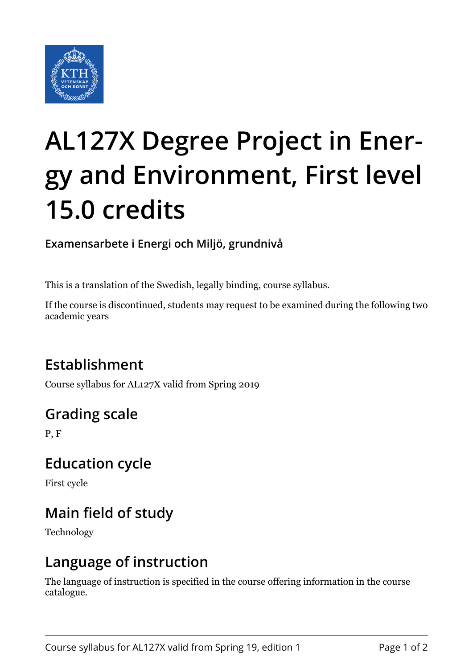

# **AL127X Degree Project in Energy and Environment, First level 15.0 credits**

**Examensarbete i Energi och Miljö, grundnivå**

This is a translation of the Swedish, legally binding, course syllabus.

If the course is discontinued, students may request to be examined during the following two academic years

# **Establishment**

Course syllabus for AL127X valid from Spring 2019

# **Grading scale**

P, F

## **Education cycle**

First cycle

# **Main field of study**

Technology

## **Language of instruction**

The language of instruction is specified in the course offering information in the course catalogue.